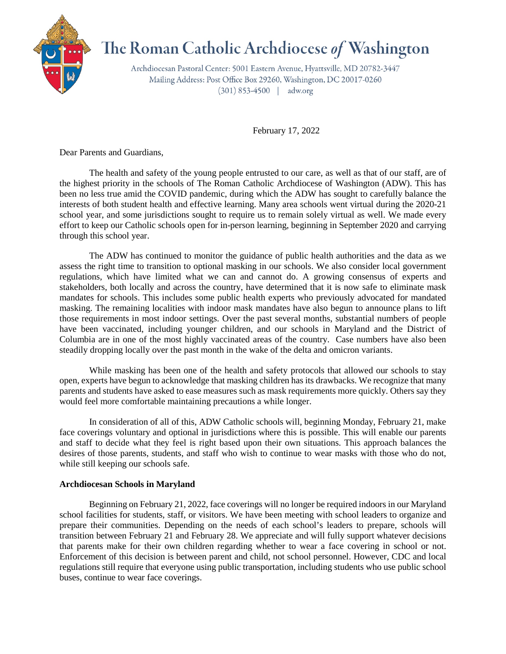

## The Roman Catholic Archdiocese of Washington

Archdiocesan Pastoral Center: 5001 Eastern Avenue, Hyattsville, MD 20782-3447 Mailing Address: Post Office Box 29260, Washington, DC 20017-0260  $(301) 853-4500$  | adw.org

February 17, 2022

Dear Parents and Guardians,

The health and safety of the young people entrusted to our care, as well as that of our staff, are of the highest priority in the schools of The Roman Catholic Archdiocese of Washington (ADW). This has been no less true amid the COVID pandemic, during which the ADW has sought to carefully balance the interests of both student health and effective learning. Many area schools went virtual during the 2020-21 school year, and some jurisdictions sought to require us to remain solely virtual as well. We made every effort to keep our Catholic schools open for in-person learning, beginning in September 2020 and carrying through this school year.

The ADW has continued to monitor the guidance of public health authorities and the data as we assess the right time to transition to optional masking in our schools. We also consider local government regulations, which have limited what we can and cannot do. A growing consensus of experts and stakeholders, both locally and across the country, have determined that it is now safe to eliminate mask mandates for schools. This includes some public health experts who previously advocated for mandated masking. The remaining localities with indoor mask mandates have also begun to announce plans to lift those requirements in most indoor settings. Over the past several months, substantial numbers of people have been vaccinated, including younger children, and our schools in Maryland and the District of Columbia are in one of the most highly vaccinated areas of the country. Case numbers have also been steadily dropping locally over the past month in the wake of the delta and omicron variants.

While masking has been one of the health and safety protocols that allowed our schools to stay open, experts have begun to acknowledge that masking children has its drawbacks. We recognize that many parents and students have asked to ease measures such as mask requirements more quickly. Others say they would feel more comfortable maintaining precautions a while longer.

In consideration of all of this, ADW Catholic schools will, beginning Monday, February 21, make face coverings voluntary and optional in jurisdictions where this is possible. This will enable our parents and staff to decide what they feel is right based upon their own situations. This approach balances the desires of those parents, students, and staff who wish to continue to wear masks with those who do not, while still keeping our schools safe.

## **Archdiocesan Schools in Maryland**

Beginning on February 21, 2022, face coverings will no longer be required indoors in our Maryland school facilities for students, staff, or visitors. We have been meeting with school leaders to organize and prepare their communities. Depending on the needs of each school's leaders to prepare, schools will transition between February 21 and February 28. We appreciate and will fully support whatever decisions that parents make for their own children regarding whether to wear a face covering in school or not. Enforcement of this decision is between parent and child, not school personnel. However, CDC and local regulations still require that everyone using public transportation, including students who use public school buses, continue to wear face coverings.